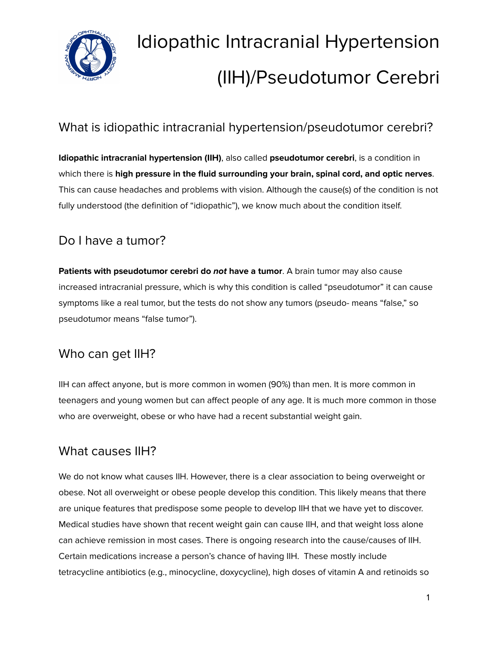

# Idiopathic Intracranial Hypertension (IIH)/Pseudotumor Cerebri

# What is idiopathic intracranial hypertension/pseudotumor cerebri?

**Idiopathic intracranial hypertension (IIH)**, also called **pseudotumor cerebri**, is a condition in which there is **high pressure in the fluid surrounding your brain, spinal cord, and optic nerves**. This can cause headaches and problems with vision. Although the cause(s) of the condition is not fully understood (the definition of "idiopathic"), we know much about the condition itself.

# Do I have a tumor?

**Patients with pseudotumor cerebri do not have a tumor**. A brain tumor may also cause increased intracranial pressure, which is why this condition is called "pseudotumor" it can cause symptoms like a real tumor, but the tests do not show any tumors (pseudo- means "false," so pseudotumor means "false tumor").

# Who can get IIH?

IIH can affect anyone, but is more common in women (90%) than men. It is more common in teenagers and young women but can affect people of any age. It is much more common in those who are overweight, obese or who have had a recent substantial weight gain.

### What causes IIH?

We do not know what causes IIH. However, there is a clear association to being overweight or obese. Not all overweight or obese people develop this condition. This likely means that there are unique features that predispose some people to develop IIH that we have yet to discover. Medical studies have shown that recent weight gain can cause IIH, and that weight loss alone can achieve remission in most cases. There is ongoing research into the cause/causes of IIH. Certain medications increase a person's chance of having IIH. These mostly include tetracycline antibiotics (e.g., minocycline, doxycycline), high doses of vitamin A and retinoids so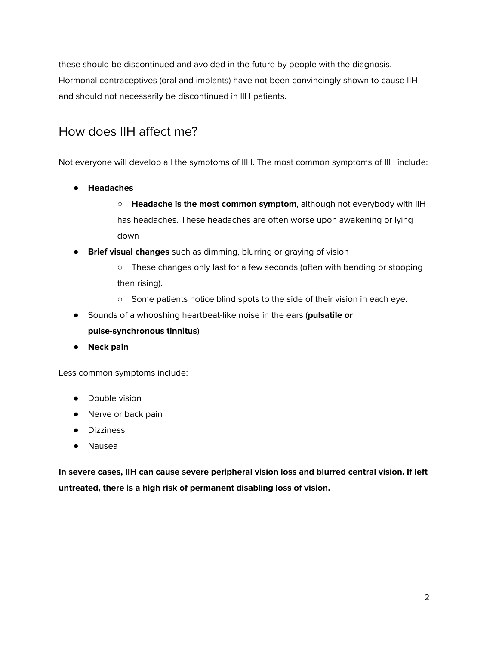these should be discontinued and avoided in the future by people with the diagnosis. Hormonal contraceptives (oral and implants) have not been convincingly shown to cause IIH and should not necessarily be discontinued in IIH patients.

# How does IIH affect me?

Not everyone will develop all the symptoms of IIH. The most common symptoms of IIH include:

- **● Headaches**
	- **Headache is the most common symptom**, although not everybody with IIH has headaches. These headaches are often worse upon awakening or lying down
- **Brief visual changes** such as dimming, blurring or graying of vision
	- These changes only last for a few seconds (often with bending or stooping then rising).
	- Some patients notice blind spots to the side of their vision in each eye.
- Sounds of a whooshing heartbeat-like noise in the ears (**pulsatile or pulse-synchronous tinnitus**)
- **● Neck pain**

Less common symptoms include:

- Double vision
- Nerve or back pain
- Dizziness
- Nausea

**In severe cases, IIH can cause severe peripheral vision loss and blurred central vision. If left untreated, there is a high risk of permanent disabling loss of vision.**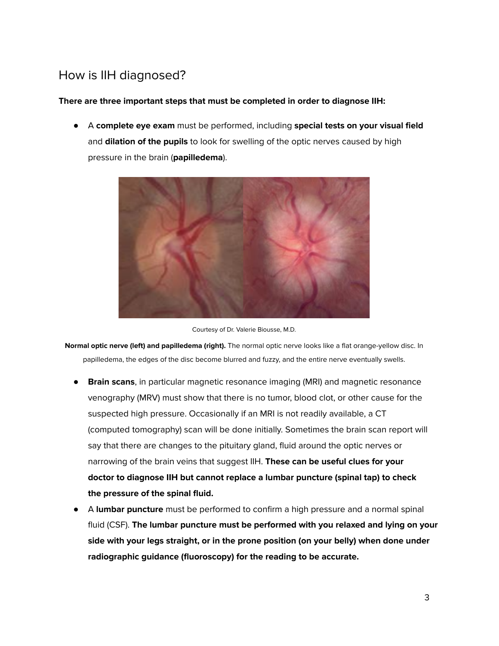# How is IIH diagnosed?

#### **There are three important steps that must be completed in order to diagnose IIH:**

● A **complete eye exam** must be performed, including **special tests on your visual field** and **dilation of the pupils** to look for swelling of the optic nerves caused by high pressure in the brain (**papilledema**).





**Normal optic nerve (left) and papilledema (right).** The normal optic nerve looks like a flat orange-yellow disc. In papilledema, the edges of the disc become blurred and fuzzy, and the entire nerve eventually swells.

- **Brain scans**, in particular magnetic resonance imaging (MRI) and magnetic resonance venography (MRV) must show that there is no tumor, blood clot, or other cause for the suspected high pressure. Occasionally if an MRI is not readily available, a CT (computed tomography) scan will be done initially. Sometimes the brain scan report will say that there are changes to the pituitary gland, fluid around the optic nerves or narrowing of the brain veins that suggest IIH. **These can be useful clues for your doctor to diagnose IIH but cannot replace a lumbar puncture (spinal tap) to check the pressure of the spinal fluid.**
- A **lumbar puncture** must be performed to confirm a high pressure and a normal spinal fluid (CSF). **The lumbar puncture must be performed with you relaxed and lying on your side with your legs straight, or in the prone position (on your belly) when done under radiographic guidance (fluoroscopy) for the reading to be accurate.**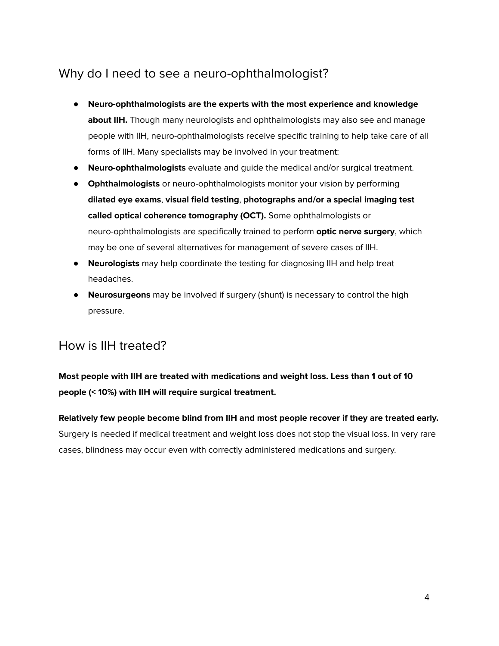## Why do I need to see a neuro-ophthalmologist?

- **Neuro-ophthalmologists are the experts with the most experience and knowledge about IIH.** Though many neurologists and ophthalmologists may also see and manage people with IIH, neuro-ophthalmologists receive specific training to help take care of all forms of IIH. Many specialists may be involved in your treatment:
- **Neuro-ophthalmologists** evaluate and guide the medical and/or surgical treatment.
- **Ophthalmologists** or neuro-ophthalmologists monitor your vision by performing **dilated eye exams**, **visual field testing**, **photographs and/or a special imaging test called optical coherence tomography (OCT).** Some ophthalmologists or neuro-ophthalmologists are specifically trained to perform **optic nerve surgery**, which may be one of several alternatives for management of severe cases of IIH.
- **Neurologists** may help coordinate the testing for diagnosing IIH and help treat headaches.
- **Neurosurgeons** may be involved if surgery (shunt) is necessary to control the high pressure.

# How is IIH treated?

### **Most people with IIH are treated with medications and weight loss. Less than 1 out of 10 people (< 10%) with IIH will require surgical treatment.**

**Relatively few people become blind from IIH and most people recover if they are treated early.** Surgery is needed if medical treatment and weight loss does not stop the visual loss. In very rare cases, blindness may occur even with correctly administered medications and surgery.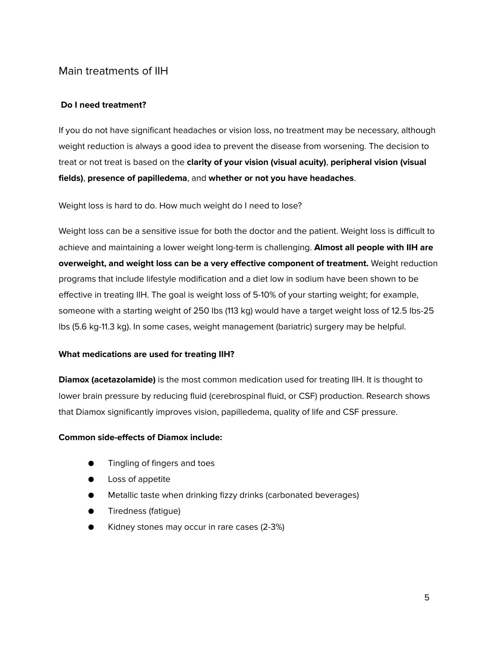#### Main treatments of IIH

#### **Do I need treatment?**

If you do not have significant headaches or vision loss, no treatment may be necessary, although weight reduction is always a good idea to prevent the disease from worsening. The decision to treat or not treat is based on the **clarity of your vision (visual acuity)**, **peripheral vision (visual fields)**, **presence of papilledema**, and **whether or not you have headaches**.

Weight loss is hard to do. How much weight do I need to lose?

Weight loss can be a sensitive issue for both the doctor and the patient. Weight loss is difficult to achieve and maintaining a lower weight long-term is challenging. **Almost all people with IIH are overweight, and weight loss can be a very effective component of treatment.** Weight reduction programs that include lifestyle modification and a diet low in sodium have been shown to be effective in treating IIH. The goal is weight loss of 5-10% of your starting weight; for example, someone with a starting weight of 250 lbs (113 kg) would have a target weight loss of 12.5 lbs-25 lbs (5.6 kg-11.3 kg). In some cases, weight management (bariatric) surgery may be helpful.

#### **What medications are used for treating IIH?**

**Diamox (acetazolamide)** is the most common medication used for treating IIH. It is thought to lower brain pressure by reducing fluid (cerebrospinal fluid, or CSF) production. Research shows that Diamox significantly improves vision, papilledema, quality of life and CSF pressure.

#### **Common side-effects of Diamox include:**

- Tingling of fingers and toes
- Loss of appetite
- Metallic taste when drinking fizzy drinks (carbonated beverages)
- Tiredness (fatigue)
- Kidney stones may occur in rare cases (2-3%)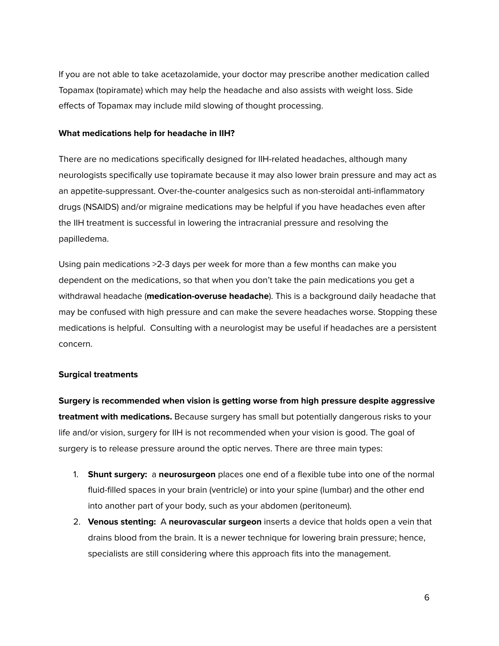If you are not able to take acetazolamide, your doctor may prescribe another medication called Topamax (topiramate) which may help the headache and also assists with weight loss. Side effects of Topamax may include mild slowing of thought processing.

#### **What medications help for headache in IIH?**

There are no medications specifically designed for IIH-related headaches, although many neurologists specifically use topiramate because it may also lower brain pressure and may act as an appetite-suppressant. Over-the-counter analgesics such as non-steroidal anti-inflammatory drugs (NSAIDS) and/or migraine medications may be helpful if you have headaches even after the IIH treatment is successful in lowering the intracranial pressure and resolving the papilledema.

Using pain medications >2-3 days per week for more than a few months can make you dependent on the medications, so that when you don't take the pain medications you get a withdrawal headache (**medication-overuse headache**). This is a background daily headache that may be confused with high pressure and can make the severe headaches worse. Stopping these medications is helpful. Consulting with a neurologist may be useful if headaches are a persistent concern.

#### **Surgical treatments**

**Surgery is recommended when vision is getting worse from high pressure despite aggressive treatment with medications.** Because surgery has small but potentially dangerous risks to your life and/or vision, surgery for IIH is not recommended when your vision is good. The goal of surgery is to release pressure around the optic nerves. There are three main types:

- 1. **Shunt surgery:** a **neurosurgeon** places one end of a flexible tube into one of the normal fluid-filled spaces in your brain (ventricle) or into your spine (lumbar) and the other end into another part of your body, such as your abdomen (peritoneum).
- 2. **Venous stenting:** A **neurovascular surgeon** inserts a device that holds open a vein that drains blood from the brain. It is a newer technique for lowering brain pressure; hence, specialists are still considering where this approach fits into the management.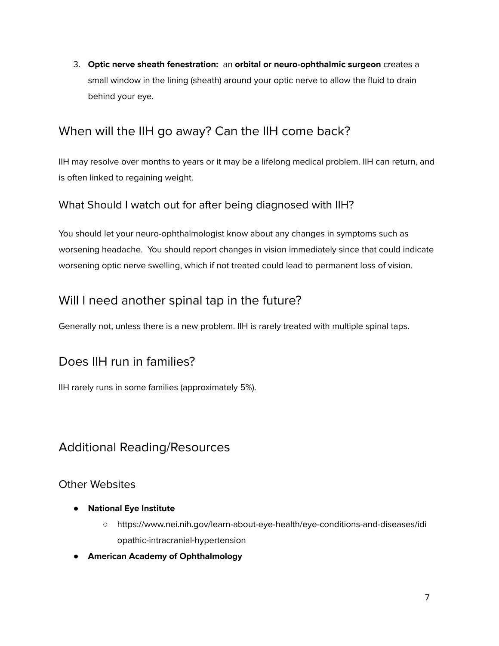3. **Optic nerve sheath fenestration:** an **orbital or neuro-ophthalmic surgeon** creates a small window in the lining (sheath) around your optic nerve to allow the fluid to drain behind your eye.

# When will the IIH go away? Can the IIH come back?

IIH may resolve over months to years or it may be a lifelong medical problem. IIH can return, and is often linked to regaining weight.

### What Should I watch out for after being diagnosed with IIH?

You should let your neuro-ophthalmologist know about any changes in symptoms such as worsening headache. You should report changes in vision immediately since that could indicate worsening optic nerve swelling, which if not treated could lead to permanent loss of vision.

### Will I need another spinal tap in the future?

Generally not, unless there is a new problem. IIH is rarely treated with multiple spinal taps.

### Does IIH run in families?

IIH rarely runs in some families (approximately 5%).

### Additional Reading/Resources

#### Other Websites

- **● National Eye Institute**
	- https://www.nei.nih.gov/learn-about-eye-health/eye-conditions-and-diseases/idi opathic-intracranial-hypertension
- **● American Academy of Ophthalmology**